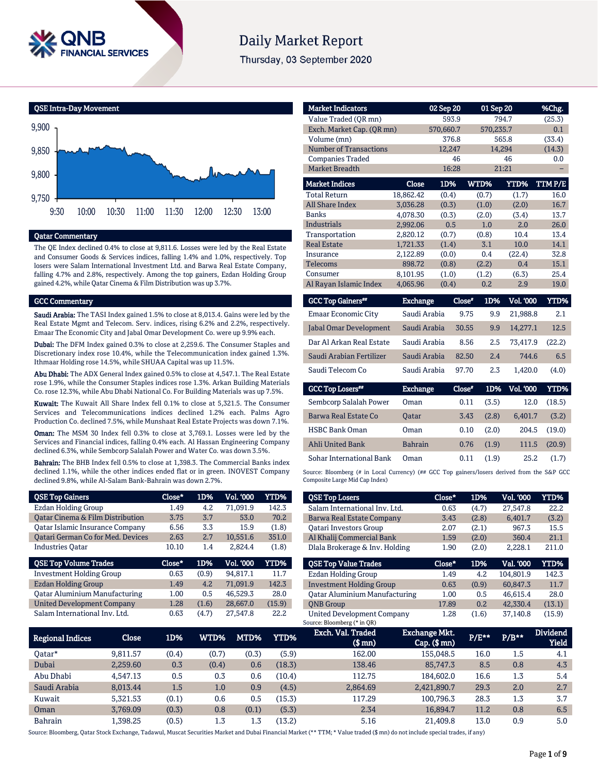

# **Daily Market Report**

Thursday, 03 September 2020

QSE Intra-Day Movement



#### Qatar Commentary

The QE Index declined 0.4% to close at 9,811.6. Losses were led by the Real Estate and Consumer Goods & Services indices, falling 1.4% and 1.0%, respectively. Top losers were Salam International Investment Ltd. and Barwa Real Estate Company, falling 4.7% and 2.8%, respectively. Among the top gainers, Ezdan Holding Group gained 4.2%, while Qatar Cinema & Film Distribution was up 3.7%.

#### GCC Commentary

Saudi Arabia: The TASI Index gained 1.5% to close at 8,013.4. Gains were led by the Real Estate Mgmt and Telecom. Serv. indices, rising 6.2% and 2.2%, respectively. Emaar The Economic City and Jabal Omar Development Co. were up 9.9% each.

Dubai: The DFM Index gained 0.3% to close at 2,259.6. The Consumer Staples and Discretionary index rose 10.4%, while the Telecommunication index gained 1.3%. Ithmaar Holding rose 14.5%, while SHUAA Capital was up 11.5%.

Abu Dhabi: The ADX General Index gained 0.5% to close at 4,547.1. The Real Estate rose 1.9%, while the Consumer Staples indices rose 1.3%. Arkan Building Materials Co. rose 12.3%, while Abu Dhabi National Co. For Building Materials was up 7.5%.

Kuwait: The Kuwait All Share Index fell 0.1% to close at 5,321.5. The Consumer Services and Telecommunications indices declined 1.2% each. Palms Agro Production Co. declined 7.5%, while Munshaat Real Estate Projects was down 7.1%.

Oman: The MSM 30 Index fell 0.3% to close at 3,769.1. Losses were led by the Services and Financial indices, falling 0.4% each. Al Hassan Engineering Company declined 6.3%, while Sembcorp Salalah Power and Water Co. was down 3.5%.

Bahrain: The BHB Index fell 0.5% to close at 1,398.3. The Commercial Banks index declined 1.1%, while the other indices ended flat or in green. INOVEST Company declined 9.8%, while Al-Salam Bank-Bahrain was down 2.7%.

| <b>QSE Top Gainers</b>                   | Close* | 1D%   | <b>Vol. '000</b> | <b>YTD%</b> |
|------------------------------------------|--------|-------|------------------|-------------|
| Ezdan Holding Group                      | 1.49   | 4.2   | 71.091.9         | 142.3       |
| Qatar Cinema & Film Distribution         | 3.75   | 3.7   | 53.0             | 70.2        |
| <b>Qatar Islamic Insurance Company</b>   | 6.56   | 3.3   | 15.9             | (1.8)       |
| <b>Qatari German Co for Med. Devices</b> | 2.63   | 2.7   | 10,551.6         | 351.0       |
| <b>Industries Oatar</b>                  | 10.10  | 1.4   | 2,824.4          | (1.8)       |
|                                          |        |       |                  |             |
| <b>QSE Top Volume Trades</b>             | Close* | 1D%   | Vol. '000        | <b>YTD%</b> |
| <b>Investment Holding Group</b>          | 0.63   | (0.9) | 94,817.1         | 11.7        |
| <b>Ezdan Holding Group</b>               | 1.49   | 4.2   | 71,091.9         | 142.3       |
| <b>Qatar Aluminium Manufacturing</b>     | 1.00   | 0.5   | 46.529.3         | 28.0        |
| <b>United Development Company</b>        | 1.28   | (1.6) | 28,667.0         | (15.9)      |

| <b>Market Indicators</b>      |                 | 02 Sep 20 |                 | 01 Sep 20       | %Chg.       |
|-------------------------------|-----------------|-----------|-----------------|-----------------|-------------|
| Value Traded (QR mn)          |                 | 593.9     |                 | 794.7           | (25.3)      |
| Exch. Market Cap. (QR mn)     |                 | 570,660.7 |                 | 570,235.7       | 0.1         |
| Volume (mn)                   |                 | 376.8     |                 | 565.8           | (33.4)      |
| <b>Number of Transactions</b> |                 | 12,247    |                 | 14,294          | (14.3)      |
| <b>Companies Traded</b>       |                 | 46        |                 | 46              | 0.0         |
| <b>Market Breadth</b>         |                 | 16:28     |                 | 21:21           |             |
| <b>Market Indices</b>         | <b>Close</b>    | 1D%       | WTD%            | <b>YTD%</b>     | TTMP/E      |
| <b>Total Return</b>           | 18,862.42       | (0.4)     | (0.7)           | (1.7)           | 16.0        |
| All Share Index               | 3,036.28        | (0.3)     | (1.0)           | (2.0)           | 16.7        |
| <b>Banks</b>                  | 4,078.30        | (0.3)     | (2.0)           | (3.4)           | 13.7        |
| <b>Industrials</b>            | 2,992.06        | 0.5       | 1.0             | 2.0             | 26.0        |
| Transportation                | 2,820.12        | (0.7)     | (0.8)           | 10.4            | 13.4        |
| <b>Real Estate</b>            | 1,721.33        | (1.4)     | 3.1             | 10.0            | 14.1        |
| Insurance                     | 2,122.89        | (0.0)     | 0.4             | (22.4)          | 32.8        |
| <b>Telecoms</b>               | 898.72          | (0.8)     | (2.2)           | 0.4             | 15.1        |
| Consumer                      | 8,101.95        | (1.0)     | (1.2)           | (6.3)           | 25.4        |
| Al Rayan Islamic Index        | 4,065.96        | (0.4)     | 0.2             | 2.9             | 19.0        |
| <b>GCC Top Gainers**</b>      | <b>Exchange</b> |           | $Close*$<br>1D% | Vol. '000       | <b>YTD%</b> |
| Emaar Economic City           | Saudi Arabia    |           | 9.75            | 9.9<br>21,988.8 | 2.1         |
| Jabal Omar Development        | Saudi Arabia    |           | 30.55           | 14,277.1<br>9.9 | 12.5        |
| Dar Al Arkan Real Estate      | Saudi Arabia    |           | 8.56            | 2.5<br>73,417.9 | (22.2)      |

Sohar International Bank Oman 0.11 (1.9) 25.2 (1.7) Source: Bloomberg (# in Local Currency) (## GCC Top gainers/losers derived from the S&P GCC Composite Large Mid Cap Index)

Saudi Arabian Fertilizer Saudi Arabia 82.50 2.4 744.6 6.5 Saudi Telecom Co Saudi Arabia 97.70 2.3 1,420.0 (4.0)

Exchange Close#

Sembcorp Salalah Power Oman 0.11 (3.5) 12.0 (18.5) Barwa Real Estate Co Qatar 3.43 (2.8) 6,401.7 (3.2) HSBC Bank Oman Oman 0.10 (2.0) 204.5 (19.0) Ahli United Bank Bahrain 0.76 (1.9) 111.5 (20.9)

1D% Vol. '000 YTD%

| <b>QSE Top Losers</b>                | Close* | 1D%   | <b>Vol. '000</b> | <b>YTD%</b> |
|--------------------------------------|--------|-------|------------------|-------------|
| Salam International Inv. Ltd.        | 0.63   | (4.7) | 27.547.8         | 22.2        |
| Barwa Real Estate Company            | 3.43   | (2.8) | 6,401.7          | (3.2)       |
| <b>Oatari Investors Group</b>        | 2.07   | (2.1) | 967.3            | 15.5        |
| Al Khalij Commercial Bank            | 1.59   | (2.0) | 360.4            | 21.1        |
| Dlala Brokerage & Inv. Holding       | 1.90   | (2.0) | 2.228.1          | 211.0       |
|                                      |        |       |                  |             |
| <b>OSE Top Value Trades</b>          | Close* | 1D%   | Val. '000        | <b>YTD%</b> |
| Ezdan Holding Group                  | 1.49   | 4.2   | 104.801.9        | 142.3       |
| <b>Investment Holding Group</b>      | 0.63   | (0.9) | 60.847.3         | 11.7        |
| <b>Oatar Aluminium Manufacturing</b> | 1.00   | 0.5   | 46.615.4         | 28.0        |
| <b>ONB</b> Group                     | 17.89  | 0.2   | 42,330.4         | (13.1)      |

| Regional Indices | Close    | 1D%     | WTD%  | MTD%  | YTD%   | Exch. Val. Traded<br>$$$ mm $)$ | <b>Exchange Mkt.</b><br>$Cap.$ (\$ mn) | $P/E***$ | $P/B**$ | <b>Dividend</b><br><b>Yield</b> |
|------------------|----------|---------|-------|-------|--------|---------------------------------|----------------------------------------|----------|---------|---------------------------------|
| Oatar*           | 9,811.57 | (0.4)   | (0.7) | (0.3) | (5.9)  | 162.00                          | 155,048.5                              | 16.0     | 1.5     | 4.1                             |
| Dubai            | 2.259.60 | 0.3     | (0.4) | 0.6   | (18.3) | 138.46                          | 85,747.3                               | 8.5      | 0.8     | 4.3                             |
| Abu Dhabi        | 4.547.13 | 0.5     | 0.3   | 0.6   | (10.4) | 112.75                          | 184,602.0                              | 16.6     | 1.3     | 5.4                             |
| Saudi Arabia     | 8.013.44 | $1.5\,$ | 1.0   | 0.9   | (4.5)  | 2,864.69                        | 2,421,890.7                            | 29.3     | 2.0     | 2.7                             |
| Kuwait           | 5.321.53 | (0.1)   | 0.6   | 0.5   | (15.3) | 117.29                          | 100.796.3                              | 28.3     | 1.3     | 3.7                             |
| Oman             | 3.769.09 | (0.3)   | 0.8   | (0.1) | (5.3)  | 2.34                            | 16.894.7                               | 11.2     | 0.8     | 6.5                             |
| <b>Bahrain</b>   | L.398.25 | (0.5)   | 1.3   | 1.3   | (13.2) | 5.16                            | 21,409.8                               | 13.0     | 0.9     | 5.0                             |

GCC Top Losers\*\*

Source: Bloomberg, Qatar Stock Exchange, Tadawul, Muscat Securities Market and Dubai Financial Market (\*\* TTM; \* Value traded (\$ mn) do not include special trades, if any)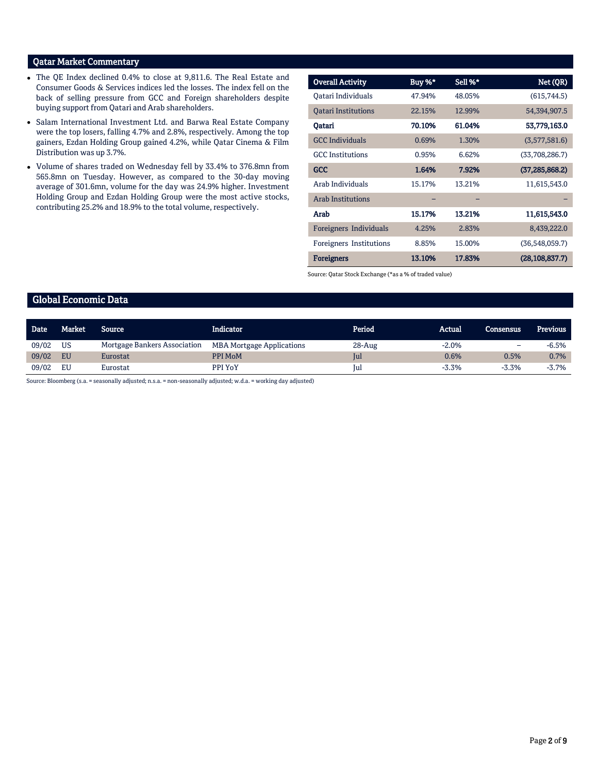# Qatar Market Commentary

- The QE Index declined 0.4% to close at 9,811.6. The Real Estate and Consumer Goods & Services indices led the losses. The index fell on the back of selling pressure from GCC and Foreign shareholders despite buying support from Qatari and Arab shareholders.
- Salam International Investment Ltd. and Barwa Real Estate Company were the top losers, falling 4.7% and 2.8%, respectively. Among the top gainers, Ezdan Holding Group gained 4.2%, while Qatar Cinema & Film Distribution was up 3.7%.
- Volume of shares traded on Wednesday fell by 33.4% to 376.8mn from 565.8mn on Tuesday. However, as compared to the 30-day moving average of 301.6mn, volume for the day was 24.9% higher. Investment Holding Group and Ezdan Holding Group were the most active stocks, contributing 25.2% and 18.9% to the total volume, respectively.

| <b>Overall Activity</b>    | Buy %* | Sell %* | Net (QR)         |
|----------------------------|--------|---------|------------------|
| Oatari Individuals         | 47.94% | 48.05%  | (615,744.5)      |
| <b>Oatari Institutions</b> | 22.15% | 12.99%  | 54,394,907.5     |
| Oatari                     | 70.10% | 61.04%  | 53,779,163.0     |
| <b>GCC</b> Individuals     | 0.69%  | 1.30%   | (3,577,581.6)    |
| <b>GCC</b> Institutions    | 0.95%  | 6.62%   | (33,708,286.7)   |
| <b>GCC</b>                 | 1.64%  | 7.92%   | (37, 285, 868.2) |
| Arab Individuals           | 15.17% | 13.21%  | 11,615,543.0     |
| <b>Arab Institutions</b>   |        |         |                  |
| Arab                       | 15.17% | 13.21%  | 11,615,543.0     |
| Foreigners Individuals     | 4.25%  | 2.83%   | 8,439,222.0      |
| Foreigners Institutions    | 8.85%  | 15.00%  | (36,548,059.7)   |
| <b>Foreigners</b>          | 13.10% | 17.83%  | (28, 108, 837.7) |

Source: Qatar Stock Exchange (\*as a % of traded value)

# Global Economic Data

| <b>Date</b> | Market    | Source                       | Indicator                        | Period     | Actual  | <b>Consensus</b> | Previous |
|-------------|-----------|------------------------------|----------------------------------|------------|---------|------------------|----------|
| 09/02       | <b>US</b> | Mortgage Bankers Association | <b>MBA Mortgage Applications</b> | $28 - Aug$ | $-2.0%$ | -                | $-6.5%$  |
| 09/02       | EU        | Eurostat                     | PPI MoM                          | Jul        | 0.6%    | 0.5%             | 0.7%     |
| 09/02       | EU        | Eurostat                     | PPI YoY                          | Jul        | $-3.3%$ | $-3.3%$          | $-3.7%$  |

Source: Bloomberg (s.a. = seasonally adjusted; n.s.a. = non-seasonally adjusted; w.d.a. = working day adjusted)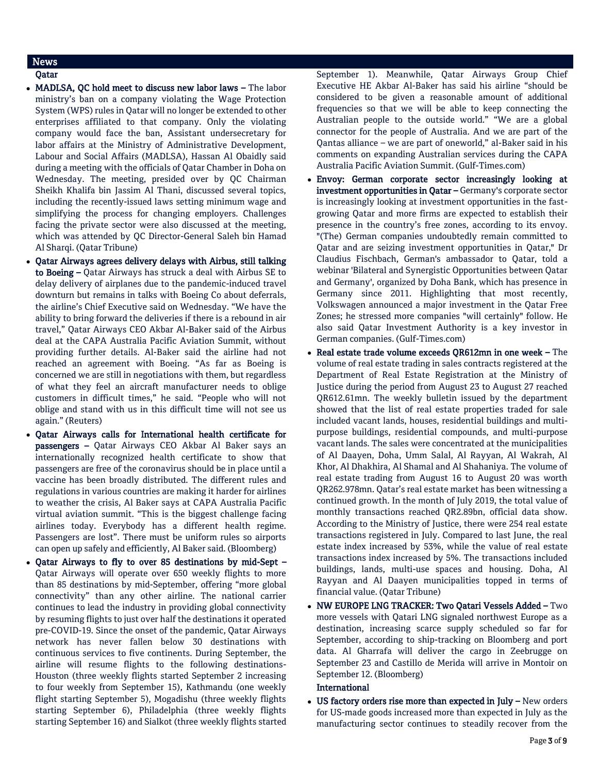# News

# Qatar

- MADLSA, QC hold meet to discuss new labor laws The labor ministry's ban on a company violating the Wage Protection System (WPS) rules in Qatar will no longer be extended to other enterprises affiliated to that company. Only the violating company would face the ban, Assistant undersecretary for labor affairs at the Ministry of Administrative Development, Labour and Social Affairs (MADLSA), Hassan Al Obaidly said during a meeting with the officials of Qatar Chamber in Doha on Wednesday. The meeting, presided over by QC Chairman Sheikh Khalifa bin Jassim Al Thani, discussed several topics, including the recently-issued laws setting minimum wage and simplifying the process for changing employers. Challenges facing the private sector were also discussed at the meeting, which was attended by QC Director-General Saleh bin Hamad Al Sharqi. (Qatar Tribune)
- Qatar Airways agrees delivery delays with Airbus, still talking to Boeing – Qatar Airways has struck a deal with Airbus SE to delay delivery of airplanes due to the pandemic-induced travel downturn but remains in talks with Boeing Co about deferrals, the airline's Chief Executive said on Wednesday. "We have the ability to bring forward the deliveries if there is a rebound in air travel," Qatar Airways CEO Akbar Al-Baker said of the Airbus deal at the CAPA Australia Pacific Aviation Summit, without providing further details. Al-Baker said the airline had not reached an agreement with Boeing. "As far as Boeing is concerned we are still in negotiations with them, but regardless of what they feel an aircraft manufacturer needs to oblige customers in difficult times," he said. "People who will not oblige and stand with us in this difficult time will not see us again." (Reuters)
- Qatar Airways calls for International health certificate for passengers – Qatar Airways CEO Akbar Al Baker says an internationally recognized health certificate to show that passengers are free of the coronavirus should be in place until a vaccine has been broadly distributed. The different rules and regulations in various countries are making it harder for airlines to weather the crisis, Al Baker says at CAPA Australia Pacific virtual aviation summit. "This is the biggest challenge facing airlines today. Everybody has a different health regime. Passengers are lost". There must be uniform rules so airports can open up safely and efficiently, Al Baker said. (Bloomberg)
- Qatar Airways to fly to over 85 destinations by mid-Sept Qatar Airways will operate over 650 weekly flights to more than 85 destinations by mid-September, offering "more global connectivity" than any other airline. The national carrier continues to lead the industry in providing global connectivity by resuming flights to just over half the destinations it operated pre-COVID-19. Since the onset of the pandemic, Qatar Airways network has never fallen below 30 destinations with continuous services to five continents. During September, the airline will resume flights to the following destinations-Houston (three weekly flights started September 2 increasing to four weekly from September 15), Kathmandu (one weekly flight starting September 5), Mogadishu (three weekly flights starting September 6), Philadelphia (three weekly flights starting September 16) and Sialkot (three weekly flights started

September 1). Meanwhile, Qatar Airways Group Chief Executive HE Akbar Al-Baker has said his airline "should be considered to be given a reasonable amount of additional frequencies so that we will be able to keep connecting the Australian people to the outside world." "We are a global connector for the people of Australia. And we are part of the Qantas alliance – we are part of oneworld," al-Baker said in his comments on expanding Australian services during the CAPA Australia Pacific Aviation Summit. (Gulf-Times.com)

- Envoy: German corporate sector increasingly looking at investment opportunities in Qatar - Germany's corporate sector is increasingly looking at investment opportunities in the fastgrowing Qatar and more firms are expected to establish their presence in the country's free zones, according to its envoy. "(The) German companies undoubtedly remain committed to Qatar and are seizing investment opportunities in Qatar," Dr Claudius Fischbach, German's ambassador to Qatar, told a webinar 'Bilateral and Synergistic Opportunities between Qatar and Germany', organized by Doha Bank, which has presence in Germany since 2011. Highlighting that most recently, Volkswagen announced a major investment in the Qatar Free Zones; he stressed more companies "will certainly" follow. He also said Qatar Investment Authority is a key investor in German companies. (Gulf-Times.com)
- Real estate trade volume exceeds QR612mn in one week The volume of real estate trading in sales contracts registered at the Department of Real Estate Registration at the Ministry of Justice during the period from August 23 to August 27 reached QR612.61mn. The weekly bulletin issued by the department showed that the list of real estate properties traded for sale included vacant lands, houses, residential buildings and multipurpose buildings, residential compounds, and multi-purpose vacant lands. The sales were concentrated at the municipalities of Al Daayen, Doha, Umm Salal, Al Rayyan, Al Wakrah, Al Khor, Al Dhakhira, Al Shamal and Al Shahaniya. The volume of real estate trading from August 16 to August 20 was worth QR262.978mn. Qatar's real estate market has been witnessing a continued growth. In the month of July 2019, the total value of monthly transactions reached QR2.89bn, official data show. According to the Ministry of Justice, there were 254 real estate transactions registered in July. Compared to last June, the real estate index increased by 53%, while the value of real estate transactions index increased by 5%. The transactions included buildings, lands, multi-use spaces and housing. Doha, Al Rayyan and Al Daayen municipalities topped in terms of financial value. (Qatar Tribune)
- NW EUROPE LNG TRACKER: Two Qatari Vessels Added Two more vessels with Qatari LNG signaled northwest Europe as a destination, increasing scarce supply scheduled so far for September, according to ship-tracking on Bloomberg and port data. Al Gharrafa will deliver the cargo in Zeebrugge on September 23 and Castillo de Merida will arrive in Montoir on September 12. (Bloomberg)

### International

 $\bullet$  US factory orders rise more than expected in July – New orders for US-made goods increased more than expected in July as the manufacturing sector continues to steadily recover from the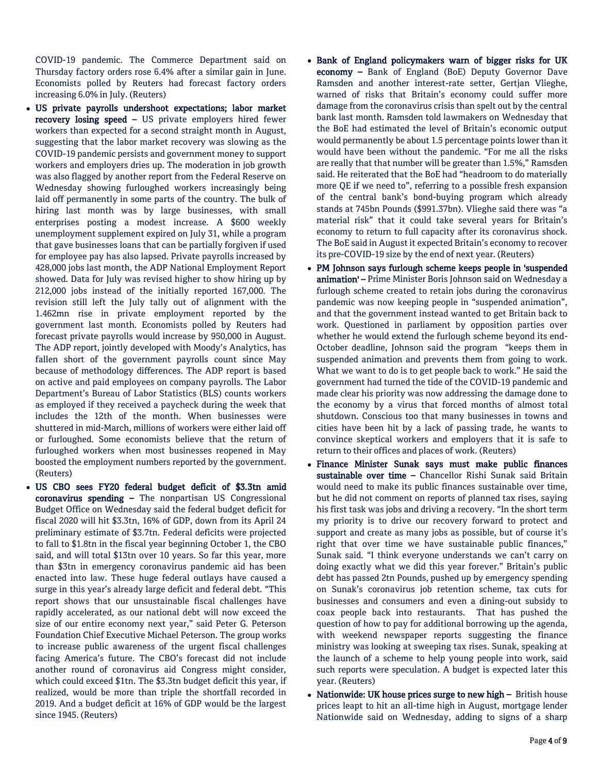COVID-19 pandemic. The Commerce Department said on Thursday factory orders rose 6.4% after a similar gain in June. Economists polled by Reuters had forecast factory orders increasing 6.0% in July. (Reuters)

- US private payrolls undershoot expectations; labor market recovery losing speed – US private employers hired fewer workers than expected for a second straight month in August, suggesting that the labor market recovery was slowing as the COVID-19 pandemic persists and government money to support workers and employers dries up. The moderation in job growth was also flagged by another report from the Federal Reserve on Wednesday showing furloughed workers increasingly being laid off permanently in some parts of the country. The bulk of hiring last month was by large businesses, with small enterprises posting a modest increase. A \$600 weekly unemployment supplement expired on July 31, while a program that gave businesses loans that can be partially forgiven if used for employee pay has also lapsed. Private payrolls increased by 428,000 jobs last month, the ADP National Employment Report showed. Data for July was revised higher to show hiring up by 212,000 jobs instead of the initially reported 167,000. The revision still left the July tally out of alignment with the 1.462mn rise in private employment reported by the government last month. Economists polled by Reuters had forecast private payrolls would increase by 950,000 in August. The ADP report, jointly developed with Moody's Analytics, has fallen short of the government payrolls count since May because of methodology differences. The ADP report is based on active and paid employees on company payrolls. The Labor Department's Bureau of Labor Statistics (BLS) counts workers as employed if they received a paycheck during the week that includes the 12th of the month. When businesses were shuttered in mid-March, millions of workers were either laid off or furloughed. Some economists believe that the return of furloughed workers when most businesses reopened in May boosted the employment numbers reported by the government. (Reuters)
- US CBO sees FY20 federal budget deficit of \$3.3tn amid coronavirus spending – The nonpartisan US Congressional Budget Office on Wednesday said the federal budget deficit for fiscal 2020 will hit \$3.3tn, 16% of GDP, down from its April 24 preliminary estimate of \$3.7tn. Federal deficits were projected to fall to \$1.8tn in the fiscal year beginning October 1, the CBO said, and will total \$13tn over 10 years. So far this year, more than \$3tn in emergency coronavirus pandemic aid has been enacted into law. These huge federal outlays have caused a surge in this year's already large deficit and federal debt. "This report shows that our unsustainable fiscal challenges have rapidly accelerated, as our national debt will now exceed the size of our entire economy next year," said Peter G. Peterson Foundation Chief Executive Michael Peterson. The group works to increase public awareness of the urgent fiscal challenges facing America's future. The CBO's forecast did not include another round of coronavirus aid Congress might consider, which could exceed \$1tn. The \$3.3tn budget deficit this year, if realized, would be more than triple the shortfall recorded in 2019. And a budget deficit at 16% of GDP would be the largest since 1945. (Reuters)
- Bank of England policymakers warn of bigger risks for UK economy – Bank of England (BoE) Deputy Governor Dave Ramsden and another interest-rate setter, Gertjan Vlieghe, warned of risks that Britain's economy could suffer more damage from the coronavirus crisis than spelt out by the central bank last month. Ramsden told lawmakers on Wednesday that the BoE had estimated the level of Britain's economic output would permanently be about 1.5 percentage points lower than it would have been without the pandemic. "For me all the risks are really that that number will be greater than 1.5%," Ramsden said. He reiterated that the BoE had "headroom to do materially more QE if we need to", referring to a possible fresh expansion of the central bank's bond-buying program which already stands at 745bn Pounds (\$991.37bn). Vlieghe said there was "a material risk" that it could take several years for Britain's economy to return to full capacity after its coronavirus shock. The BoE said in August it expected Britain's economy to recover its pre-COVID-19 size by the end of next year. (Reuters)
- PM Johnson says furlough scheme keeps people in 'suspended animation' - Prime Minister Boris Johnson said on Wednesday a furlough scheme created to retain jobs during the coronavirus pandemic was now keeping people in "suspended animation", and that the government instead wanted to get Britain back to work. Questioned in parliament by opposition parties over whether he would extend the furlough scheme beyond its end-October deadline, Johnson said the program "keeps them in suspended animation and prevents them from going to work. What we want to do is to get people back to work." He said the government had turned the tide of the COVID-19 pandemic and made clear his priority was now addressing the damage done to the economy by a virus that forced months of almost total shutdown. Conscious too that many businesses in towns and cities have been hit by a lack of passing trade, he wants to convince skeptical workers and employers that it is safe to return to their offices and places of work. (Reuters)
- Finance Minister Sunak says must make public finances sustainable over time – Chancellor Rishi Sunak said Britain would need to make its public finances sustainable over time, but he did not comment on reports of planned tax rises, saying his first task was jobs and driving a recovery. "In the short term my priority is to drive our recovery forward to protect and support and create as many jobs as possible, but of course it's right that over time we have sustainable public finances," Sunak said. "I think everyone understands we can't carry on doing exactly what we did this year forever." Britain's public debt has passed 2tn Pounds, pushed up by emergency spending on Sunak's coronavirus job retention scheme, tax cuts for businesses and consumers and even a dining-out subsidy to coax people back into restaurants. That has pushed the question of how to pay for additional borrowing up the agenda, with weekend newspaper reports suggesting the finance ministry was looking at sweeping tax rises. Sunak, speaking at the launch of a scheme to help young people into work, said such reports were speculation. A budget is expected later this year. (Reuters)
- Nationwide: UK house prices surge to new high British house prices leapt to hit an all-time high in August, mortgage lender Nationwide said on Wednesday, adding to signs of a sharp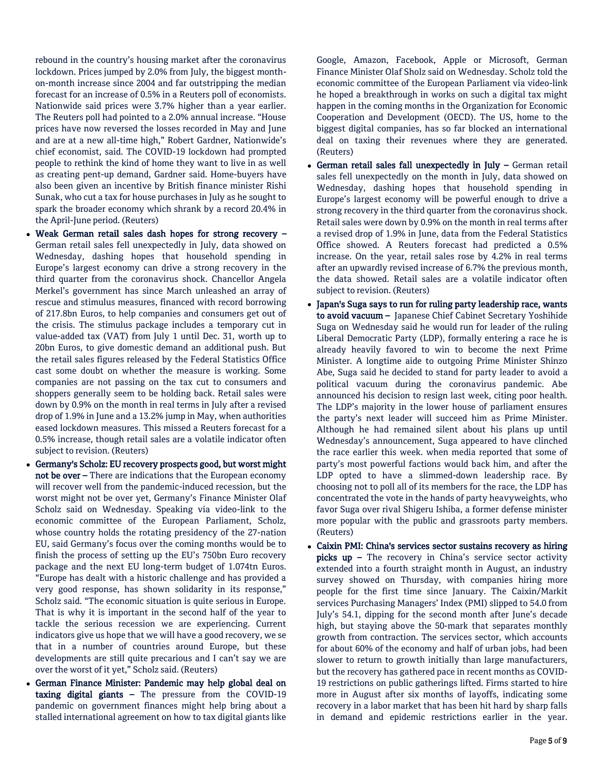rebound in the country's housing market after the coronavirus lockdown. Prices jumped by 2.0% from July, the biggest monthon-month increase since 2004 and far outstripping the median forecast for an increase of 0.5% in a Reuters poll of economists. Nationwide said prices were 3.7% higher than a year earlier. The Reuters poll had pointed to a 2.0% annual increase. "House prices have now reversed the losses recorded in May and June and are at a new all-time high," Robert Gardner, Nationwide's chief economist, said. The COVID-19 lockdown had prompted people to rethink the kind of home they want to live in as well as creating pent-up demand, Gardner said. Home-buyers have also been given an incentive by British finance minister Rishi Sunak, who cut a tax for house purchases in July as he sought to spark the broader economy which shrank by a record 20.4% in the April-June period. (Reuters)

- Weak German retail sales dash hopes for strong recovery German retail sales fell unexpectedly in July, data showed on Wednesday, dashing hopes that household spending in Europe's largest economy can drive a strong recovery in the third quarter from the coronavirus shock. Chancellor Angela Merkel's government has since March unleashed an array of rescue and stimulus measures, financed with record borrowing of 217.8bn Euros, to help companies and consumers get out of the crisis. The stimulus package includes a temporary cut in value-added tax (VAT) from July 1 until Dec. 31, worth up to 20bn Euros, to give domestic demand an additional push. But the retail sales figures released by the Federal Statistics Office cast some doubt on whether the measure is working. Some companies are not passing on the tax cut to consumers and shoppers generally seem to be holding back. Retail sales were down by 0.9% on the month in real terms in July after a revised drop of 1.9% in June and a 13.2% jump in May, when authorities eased lockdown measures. This missed a Reuters forecast for a 0.5% increase, though retail sales are a volatile indicator often subject to revision. (Reuters)
- Germany's Scholz: EU recovery prospects good, but worst might not be over – There are indications that the European economy will recover well from the pandemic-induced recession, but the worst might not be over yet, Germany's Finance Minister Olaf Scholz said on Wednesday. Speaking via video-link to the economic committee of the European Parliament, Scholz, whose country holds the rotating presidency of the 27-nation EU, said Germany's focus over the coming months would be to finish the process of setting up the EU's 750bn Euro recovery package and the next EU long-term budget of 1.074tn Euros. "Europe has dealt with a historic challenge and has provided a very good response, has shown solidarity in its response," Scholz said. "The economic situation is quite serious in Europe. That is why it is important in the second half of the year to tackle the serious recession we are experiencing. Current indicators give us hope that we will have a good recovery, we se that in a number of countries around Europe, but these developments are still quite precarious and I can't say we are over the worst of it yet," Scholz said. (Reuters)
- German Finance Minister: Pandemic may help global deal on taxing digital giants – The pressure from the COVID-19 pandemic on government finances might help bring about a stalled international agreement on how to tax digital giants like

Google, Amazon, Facebook, Apple or Microsoft, German Finance Minister Olaf Sholz said on Wednesday. Scholz told the economic committee of the European Parliament via video-link he hoped a breakthrough in works on such a digital tax might happen in the coming months in the Organization for Economic Cooperation and Development (OECD). The US, home to the biggest digital companies, has so far blocked an international deal on taxing their revenues where they are generated. (Reuters)

- German retail sales fall unexpectedly in July German retail sales fell unexpectedly on the month in July, data showed on Wednesday, dashing hopes that household spending in Europe's largest economy will be powerful enough to drive a strong recovery in the third quarter from the coronavirus shock. Retail sales were down by 0.9% on the month in real terms after a revised drop of 1.9% in June, data from the Federal Statistics Office showed. A Reuters forecast had predicted a 0.5% increase. On the year, retail sales rose by 4.2% in real terms after an upwardly revised increase of 6.7% the previous month, the data showed. Retail sales are a volatile indicator often subject to revision. (Reuters)
- Japan's Suga says to run for ruling party leadership race, wants to avoid vacuum - Japanese Chief Cabinet Secretary Yoshihide Suga on Wednesday said he would run for leader of the ruling Liberal Democratic Party (LDP), formally entering a race he is already heavily favored to win to become the next Prime Minister. A longtime aide to outgoing Prime Minister Shinzo Abe, Suga said he decided to stand for party leader to avoid a political vacuum during the coronavirus pandemic. Abe announced his decision to resign last week, citing poor health. The LDP's majority in the lower house of parliament ensures the party's next leader will succeed him as Prime Minister. Although he had remained silent about his plans up until Wednesday's announcement, Suga appeared to have clinched the race earlier this week. when media reported that some of party's most powerful factions would back him, and after the LDP opted to have a slimmed-down leadership race. By choosing not to poll all of its members for the race, the LDP has concentrated the vote in the hands of party heavyweights, who favor Suga over rival Shigeru Ishiba, a former defense minister more popular with the public and grassroots party members. (Reuters)
- Caixin PMI: China's services sector sustains recovery as hiring picks up - The recovery in China's service sector activity extended into a fourth straight month in August, an industry survey showed on Thursday, with companies hiring more people for the first time since January. The Caixin/Markit services Purchasing Managers' Index (PMI) slipped to 54.0 from July's 54.1, dipping for the second month after June's decade high, but staying above the 50-mark that separates monthly growth from contraction. The services sector, which accounts for about 60% of the economy and half of urban jobs, had been slower to return to growth initially than large manufacturers, but the recovery has gathered pace in recent months as COVID-19 restrictions on public gatherings lifted. Firms started to hire more in August after six months of layoffs, indicating some recovery in a labor market that has been hit hard by sharp falls in demand and epidemic restrictions earlier in the year.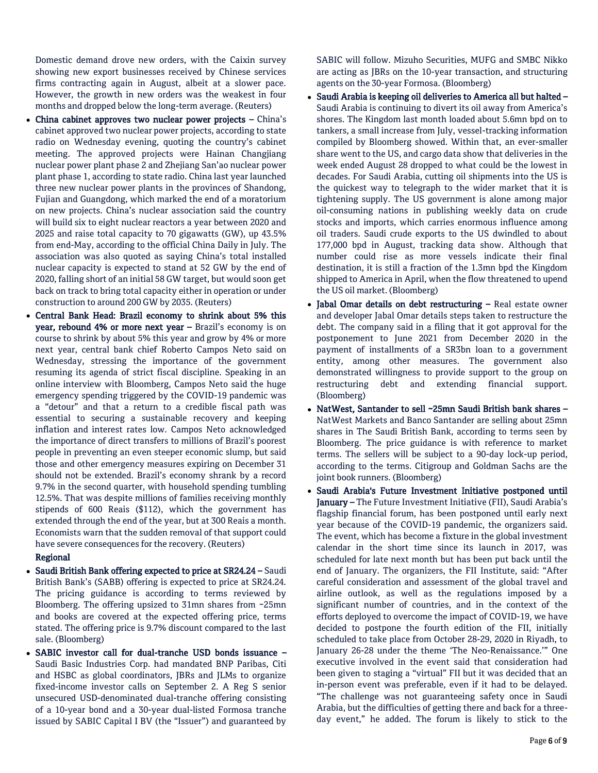Domestic demand drove new orders, with the Caixin survey showing new export businesses received by Chinese services firms contracting again in August, albeit at a slower pace. However, the growth in new orders was the weakest in four months and dropped below the long-term average. (Reuters)

- China cabinet approves two nuclear power projects China's cabinet approved two nuclear power projects, according to state radio on Wednesday evening, quoting the country's cabinet meeting. The approved projects were Hainan Changjiang nuclear power plant phase 2 and Zhejiang San'ao nuclear power plant phase 1, according to state radio. China last year launched three new nuclear power plants in the provinces of Shandong, Fujian and Guangdong, which marked the end of a moratorium on new projects. China's nuclear association said the country will build six to eight nuclear reactors a year between 2020 and 2025 and raise total capacity to 70 gigawatts (GW), up 43.5% from end-May, according to the official China Daily in July. The association was also quoted as saying China's total installed nuclear capacity is expected to stand at 52 GW by the end of 2020, falling short of an initial 58 GW target, but would soon get back on track to bring total capacity either in operation or under construction to around 200 GW by 2035. (Reuters)
- Central Bank Head: Brazil economy to shrink about 5% this year, rebound 4% or more next year – Brazil's economy is on course to shrink by about 5% this year and grow by 4% or more next year, central bank chief Roberto Campos Neto said on Wednesday, stressing the importance of the government resuming its agenda of strict fiscal discipline. Speaking in an online interview with Bloomberg, Campos Neto said the huge emergency spending triggered by the COVID-19 pandemic was a "detour" and that a return to a credible fiscal path was essential to securing a sustainable recovery and keeping inflation and interest rates low. Campos Neto acknowledged the importance of direct transfers to millions of Brazil's poorest people in preventing an even steeper economic slump, but said those and other emergency measures expiring on December 31 should not be extended. Brazil's economy shrank by a record 9.7% in the second quarter, with household spending tumbling 12.5%. That was despite millions of families receiving monthly stipends of 600 Reais (\$112), which the government has extended through the end of the year, but at 300 Reais a month. Economists warn that the sudden removal of that support could have severe consequences for the recovery. (Reuters)

#### Regional

- Saudi British Bank offering expected to price at SR24.24 Saudi British Bank's (SABB) offering is expected to price at SR24.24. The pricing guidance is according to terms reviewed by Bloomberg. The offering upsized to 31mn shares from ~25mn and books are covered at the expected offering price, terms stated. The offering price is 9.7% discount compared to the last sale. (Bloomberg)
- SABIC investor call for dual-tranche USD bonds issuance Saudi Basic Industries Corp. had mandated BNP Paribas, Citi and HSBC as global coordinators, JBRs and JLMs to organize fixed-income investor calls on September 2. A Reg S senior unsecured USD-denominated dual-tranche offering consisting of a 10-year bond and a 30-year dual-listed Formosa tranche issued by SABIC Capital I BV (the "Issuer") and guaranteed by

SABIC will follow. Mizuho Securities, MUFG and SMBC Nikko are acting as JBRs on the 10-year transaction, and structuring agents on the 30-year Formosa. (Bloomberg)

- Saudi Arabia is keeping oil deliveries to America all but halted Saudi Arabia is continuing to divert its oil away from America's shores. The Kingdom last month loaded about 5.6mn bpd on to tankers, a small increase from July, vessel-tracking information compiled by Bloomberg showed. Within that, an ever-smaller share went to the US, and cargo data show that deliveries in the week ended August 28 dropped to what could be the lowest in decades. For Saudi Arabia, cutting oil shipments into the US is the quickest way to telegraph to the wider market that it is tightening supply. The US government is alone among major oil-consuming nations in publishing weekly data on crude stocks and imports, which carries enormous influence among oil traders. Saudi crude exports to the US dwindled to about 177,000 bpd in August, tracking data show. Although that number could rise as more vessels indicate their final destination, it is still a fraction of the 1.3mn bpd the Kingdom shipped to America in April, when the flow threatened to upend the US oil market. (Bloomberg)
- Jabal Omar details on debt restructuring Real estate owner and developer Jabal Omar details steps taken to restructure the debt. The company said in a filing that it got approval for the postponement to June 2021 from December 2020 in the payment of installments of a SR3bn loan to a government entity, among other measures. The government also demonstrated willingness to provide support to the group on restructuring debt and extending financial support. (Bloomberg)
- NatWest, Santander to sell ~25mn Saudi British bank shares NatWest Markets and Banco Santander are selling about 25mn shares in The Saudi British Bank, according to terms seen by Bloomberg. The price guidance is with reference to market terms. The sellers will be subject to a 90-day lock-up period, according to the terms. Citigroup and Goldman Sachs are the joint book runners. (Bloomberg)
- Saudi Arabia's Future Investment Initiative postponed until January – The Future Investment Initiative (FII), Saudi Arabia's flagship financial forum, has been postponed until early next year because of the COVID-19 pandemic, the organizers said. The event, which has become a fixture in the global investment calendar in the short time since its launch in 2017, was scheduled for late next month but has been put back until the end of January. The organizers, the FII Institute, said: "After careful consideration and assessment of the global travel and airline outlook, as well as the regulations imposed by a significant number of countries, and in the context of the efforts deployed to overcome the impact of COVID-19, we have decided to postpone the fourth edition of the FII, initially scheduled to take place from October 28-29, 2020 in Riyadh, to January 26-28 under the theme 'The Neo-Renaissance.'" One executive involved in the event said that consideration had been given to staging a "virtual" FII but it was decided that an in-person event was preferable, even if it had to be delayed. "The challenge was not guaranteeing safety once in Saudi Arabia, but the difficulties of getting there and back for a threeday event," he added. The forum is likely to stick to the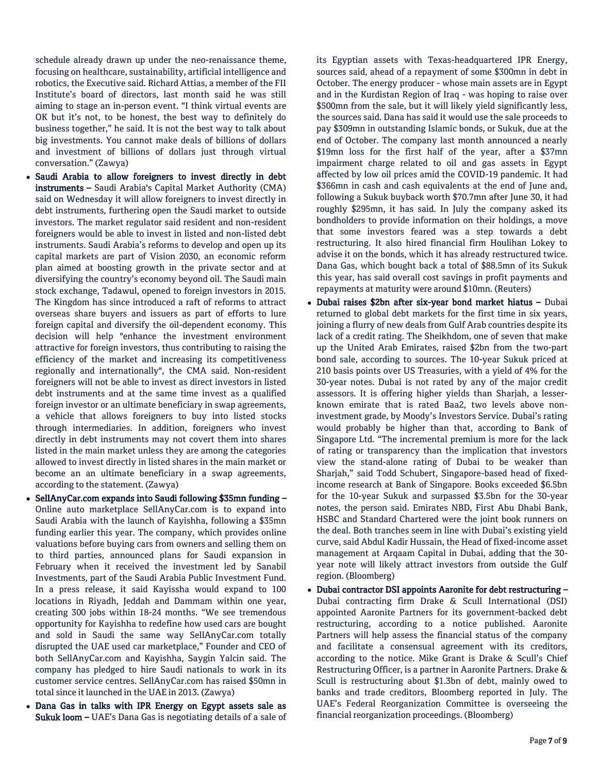schedule already drawn up under the neo-renaissance theme, focusing on healthcare, sustainability, artificial intelligence and robotics, the Executive said. Richard Attias, a member of the FII Institute's board of directors, last month said he was still aiming to stage an in-person event. "I think virtual events are OK but it's not, to be honest, the best way to definitely do business together," he said. It is not the best way to talk about big investments. You cannot make deals of billions of dollars and investment of billions of dollars just through virtual conversation." (Zawya)

- Saudi Arabia to allow foreigners to invest directly in debt instruments – Saudi Arabia's Capital Market Authority (CMA) said on Wednesday it will allow foreigners to invest directly in debt instruments, furthering open the Saudi market to outside investors. The market regulator said resident and non-resident foreigners would be able to invest in listed and non-listed debt instruments. Saudi Arabia's reforms to develop and open up its capital markets are part of Vision 2030, an economic reform plan aimed at boosting growth in the private sector and at diversifying the country's economy beyond oil. The Saudi main stock exchange, Tadawul, opened to foreign investors in 2015. The Kingdom has since introduced a raft of reforms to attract overseas share buyers and issuers as part of efforts to lure foreign capital and diversify the oil-dependent economy. This decision will help "enhance the investment environment attractive for foreign investors, thus contributing to raising the efficiency of the market and increasing its competitiveness regionally and internationally", the CMA said. Non-resident foreigners will not be able to invest as direct investors in listed debt instruments and at the same time invest as a qualified foreign investor or an ultimate beneficiary in swap agreements, a vehicle that allows foreigners to buy into listed stocks through intermediaries. In addition, foreigners who invest directly in debt instruments may not covert them into shares listed in the main market unless they are among the categories allowed to invest directly in listed shares in the main market or become an an ultimate beneficiary in a swap agreements, according to the statement. (Zawya)
- SellAnyCar.com expands into Saudi following \$35mn funding Online auto marketplace SellAnyCar.com is to expand into Saudi Arabia with the launch of Kayishha, following a \$35mn funding earlier this year. The company, which provides online valuations before buying cars from owners and selling them on to third parties, announced plans for Saudi expansion in February when it received the investment led by Sanabil Investments, part of the Saudi Arabia Public Investment Fund. In a press release, it said Kayissha would expand to 100 locations in Riyadh, Jeddah and Dammam within one year, creating 300 jobs within 18-24 months. "We see tremendous opportunity for Kayishha to redefine how used cars are bought and sold in Saudi the same way SellAnyCar.com totally disrupted the UAE used car marketplace," Founder and CEO of both SellAnyCar.com and Kayishha, Saygin Yalcin said. The company has pledged to hire Saudi nationals to work in its customer service centres. SellAnyCar.com has raised \$50mn in total since it launched in the UAE in 2013. (Zawya)
- Dana Gas in talks with IPR Energy on Egypt assets sale as Sukuk loom – UAE's Dana Gas is negotiating details of a sale of

its Egyptian assets with Texas-headquartered IPR Energy, sources said, ahead of a repayment of some \$300mn in debt in October. The energy producer - whose main assets are in Egypt and in the Kurdistan Region of Iraq - was hoping to raise over \$500mn from the sale, but it will likely yield significantly less, the sources said. Dana has said it would use the sale proceeds to pay \$309mn in outstanding Islamic bonds, or Sukuk, due at the end of October. The company last month announced a nearly \$19mn loss for the first half of the year, after a \$37mn impairment charge related to oil and gas assets in Egypt affected by low oil prices amid the COVID-19 pandemic. It had \$366mn in cash and cash equivalents at the end of June and, following a Sukuk buyback worth \$70.7mn after June 30, it had roughly \$295mn, it has said. In July the company asked its bondholders to provide information on their holdings, a move that some investors feared was a step towards a debt restructuring. It also hired financial firm Houlihan Lokey to advise it on the bonds, which it has already restructured twice. Dana Gas, which bought back a total of \$88.5mn of its Sukuk this year, has said overall cost savings in profit payments and repayments at maturity were around \$10mn. (Reuters)

- Dubai raises \$2bn after six-year bond market hiatus Dubai returned to global debt markets for the first time in six years, joining a flurry of new deals from Gulf Arab countries despite its lack of a credit rating. The Sheikhdom, one of seven that make up the United Arab Emirates, raised \$2bn from the two-part bond sale, according to sources. The 10-year Sukuk priced at 210 basis points over US Treasuries, with a yield of 4% for the 30-year notes. Dubai is not rated by any of the major credit assessors. It is offering higher yields than Sharjah, a lesserknown emirate that is rated Baa2, two levels above noninvestment grade, by Moody's Investors Service. Dubai's rating would probably be higher than that, according to Bank of Singapore Ltd. "The incremental premium is more for the lack of rating or transparency than the implication that investors view the stand-alone rating of Dubai to be weaker than Sharjah," said Todd Schubert, Singapore-based head of fixedincome research at Bank of Singapore. Books exceeded \$6.5bn for the 10-year Sukuk and surpassed \$3.5bn for the 30-year notes, the person said. Emirates NBD, First Abu Dhabi Bank, HSBC and Standard Chartered were the joint book runners on the deal. Both tranches seem in line with Dubai's existing yield curve, said Abdul Kadir Hussain, the Head of fixed-income asset management at Arqaam Capital in Dubai, adding that the 30 year note will likely attract investors from outside the Gulf region. (Bloomberg)
- Dubai contractor DSI appoints Aaronite for debt restructuring Dubai contracting firm Drake & Scull International (DSI) appointed Aaronite Partners for its government-backed debt restructuring, according to a notice published. Aaronite Partners will help assess the financial status of the company and facilitate a consensual agreement with its creditors, according to the notice. Mike Grant is Drake & Scull's Chief Restructuring Officer, is a partner in Aaronite Partners. Drake & Scull is restructuring about \$1.3bn of debt, mainly owed to banks and trade creditors, Bloomberg reported in July. The UAE's Federal Reorganization Committee is overseeing the financial reorganization proceedings. (Bloomberg)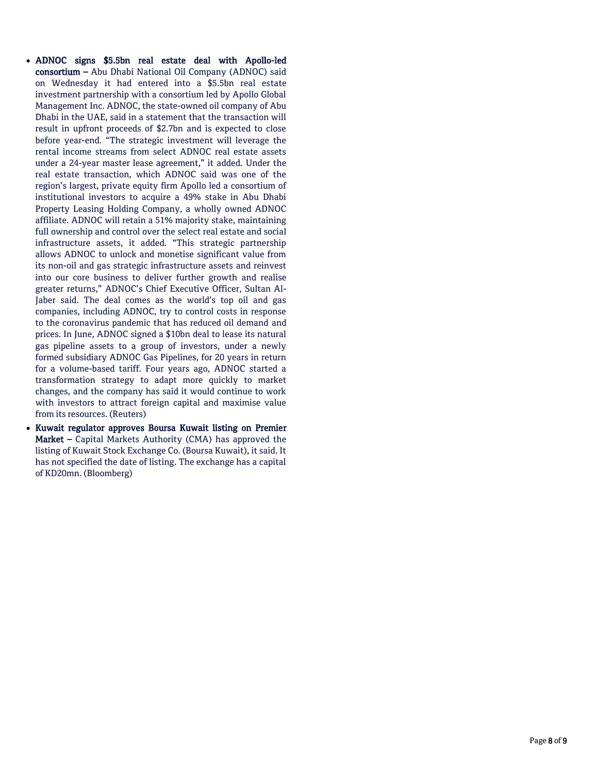- ADNOC signs \$5.5bn real estate deal with Apollo-led consortium – Abu Dhabi National Oil Company (ADNOC) said on Wednesday it had entered into a \$5.5bn real estate investment partnership with a consortium led by Apollo Global Management Inc. ADNOC, the state-owned oil company of Abu Dhabi in the UAE, said in a statement that the transaction will result in upfront proceeds of \$2.7bn and is expected to close before year-end. "The strategic investment will leverage the rental income streams from select ADNOC real estate assets under a 24-year master lease agreement," it added. Under the real estate transaction, which ADNOC said was one of the region's largest, private equity firm Apollo led a consortium of institutional investors to acquire a 49% stake in Abu Dhabi Property Leasing Holding Company, a wholly owned ADNOC affiliate. ADNOC will retain a 51% majority stake, maintaining full ownership and control over the select real estate and social infrastructure assets, it added. "This strategic partnership allows ADNOC to unlock and monetise significant value from its non-oil and gas strategic infrastructure assets and reinvest into our core business to deliver further growth and realise greater returns," ADNOC's Chief Executive Officer, Sultan Al-Jaber said. The deal comes as the world's top oil and gas companies, including ADNOC, try to control costs in response to the coronavirus pandemic that has reduced oil demand and prices. In June, ADNOC signed a \$10bn deal to lease its natural gas pipeline assets to a group of investors, under a newly formed subsidiary ADNOC Gas Pipelines, for 20 years in return for a volume-based tariff. Four years ago, ADNOC started a transformation strategy to adapt more quickly to market changes, and the company has said it would continue to work with investors to attract foreign capital and maximise value from its resources. (Reuters)
- Kuwait regulator approves Boursa Kuwait listing on Premier Market – Capital Markets Authority (CMA) has approved the listing of Kuwait Stock Exchange Co. (Boursa Kuwait), it said. It has not specified the date of listing. The exchange has a capital of KD20mn. (Bloomberg)